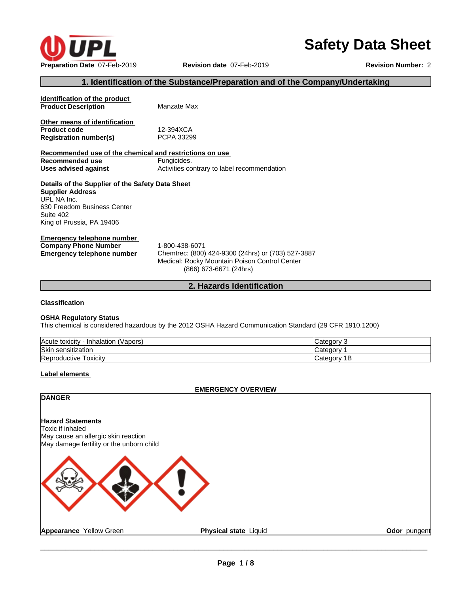

# **Safety Data Sheet**

#### **1. Identification of the Substance/Preparation and of the Company/Undertaking**

**Identification of the product Product Description** Manzate Max **Other means of identification**<br>**Product code** 12-394XCA

**Product code 12-394XCA**<br> **Registration number(s)** PCPA 33299 **Registration number(s)** 

**Recommended use of the chemical and restrictions on use Recommended use** Fungicides.<br> **Uses advised against** Activities co Activities contrary to label recommendation

**Details of the Supplier of the Safety Data Sheet Supplier Address** UPL NA Inc. 630 Freedom Business Center Suite 402 King of Prussia, PA 19406

**Emergency telephone number Company Phone Number** 1-800-438-6071

**Emergency telephone number** Chemtrec: (800) 424-9300 (24hrs) or (703) 527-3887 Medical: Rocky Mountain Poison Control Center (866) 673-6671 (24hrs)

#### **2. Hazards Identification**

**Classification**

#### **OSHA Regulatory Status**

This chemical is considered hazardous by the 2012 OSHA Hazard Communication Standard (29 CFR 1910.1200)

| Acute toxicity<br>'Vapors)<br>- Inhalation | ∵ategorvٽ<br>w  |
|--------------------------------------------|-----------------|
| Skin sensitization                         | Categor         |
| Toxicitv<br>Reproductive                   | 1В<br>∵ategoryس |

#### **Label elements**

#### **EMERGENCY OVERVIEW**

**DANGER Hazard Statements** Toxic if inhaled May cause an allergic skin reaction May damage fertility or the unborn child **Appearance** Yellow Green **Physical state** Liquid **Odor** pungent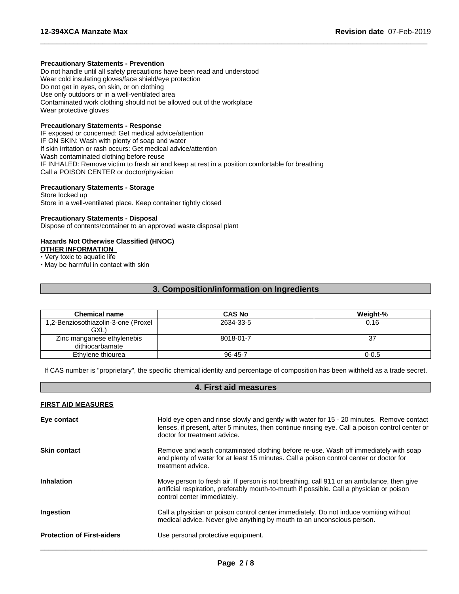#### **Precautionary Statements - Prevention**

Do not handle until all safety precautions have been read and understood Wear cold insulating gloves/face shield/eye protection Do not get in eyes, on skin, or on clothing Use only outdoors or in a well-ventilated area Contaminated work clothing should not be allowed out of the workplace Wear protective gloves

#### **Precautionary Statements - Response**

IF exposed or concerned: Get medical advice/attention IF ON SKIN: Wash with plenty of soap and water If skin irritation or rash occurs: Get medical advice/attention Wash contaminated clothing before reuse IF INHALED: Remove victim to fresh air and keep at rest in a position comfortable for breathing Call a POISON CENTER or doctor/physician

#### **Precautionary Statements - Storage**

Store locked up Store in a well-ventilated place. Keep container tightly closed

#### **Precautionary Statements - Disposal**

Dispose of contents/container to an approved waste disposal plant

#### **Hazards Not Otherwise Classified (HNOC)**

**OTHER INFORMATION**

• Very toxic to aquatic life

• May be harmful in contact with skin

#### **3. Composition/information on Ingredients**

 $\overline{\phantom{a}}$  ,  $\overline{\phantom{a}}$  ,  $\overline{\phantom{a}}$  ,  $\overline{\phantom{a}}$  ,  $\overline{\phantom{a}}$  ,  $\overline{\phantom{a}}$  ,  $\overline{\phantom{a}}$  ,  $\overline{\phantom{a}}$  ,  $\overline{\phantom{a}}$  ,  $\overline{\phantom{a}}$  ,  $\overline{\phantom{a}}$  ,  $\overline{\phantom{a}}$  ,  $\overline{\phantom{a}}$  ,  $\overline{\phantom{a}}$  ,  $\overline{\phantom{a}}$  ,  $\overline{\phantom{a}}$ 

| <b>Chemical name</b>                | <b>CAS No</b> | Weight-%  |
|-------------------------------------|---------------|-----------|
| 1,2-Benziosothiazolin-3-one (Proxel | 2634-33-5     | 0.16      |
| GXL)                                |               |           |
| Zinc manganese ethylenebis          | 8018-01-7     | 37        |
| dithiocarbamate                     |               |           |
| Ethylene thiourea                   | $96 - 45 - 7$ | $0 - 0.5$ |

If CAS number is "proprietary", the specific chemical identity and percentage of composition has been withheld as a trade secret.

#### **4. First aid measures**

#### **FIRST AID MEASURES**

| Eye contact                       | Hold eye open and rinse slowly and gently with water for 15 - 20 minutes. Remove contact<br>lenses, if present, after 5 minutes, then continue rinsing eye. Call a poison control center or<br>doctor for treatment advice. |
|-----------------------------------|-----------------------------------------------------------------------------------------------------------------------------------------------------------------------------------------------------------------------------|
| <b>Skin contact</b>               | Remove and wash contaminated clothing before re-use. Wash off immediately with soap<br>and plenty of water for at least 15 minutes. Call a poison control center or doctor for<br>treatment advice.                         |
| <b>Inhalation</b>                 | Move person to fresh air. If person is not breathing, call 911 or an ambulance, then give<br>artificial respiration, preferably mouth-to-mouth if possible. Call a physician or poison<br>control center immediately.       |
| Ingestion                         | Call a physician or poison control center immediately. Do not induce vomiting without<br>medical advice. Never give anything by mouth to an unconscious person.                                                             |
| <b>Protection of First-aiders</b> | Use personal protective equipment.                                                                                                                                                                                          |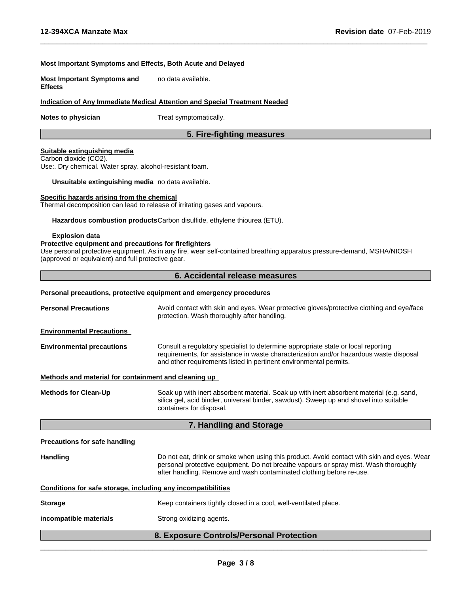#### **Most Important Symptoms and Effects, Both Acute and Delayed**

**Most Important Symptoms and Effects** no data available.

#### **Indication of Any Immediate Medical Attention and Special Treatment Needed**

**Notes to physician** Treat symptomatically.

#### **5. Fire-fighting measures**

 $\overline{\phantom{a}}$  ,  $\overline{\phantom{a}}$  ,  $\overline{\phantom{a}}$  ,  $\overline{\phantom{a}}$  ,  $\overline{\phantom{a}}$  ,  $\overline{\phantom{a}}$  ,  $\overline{\phantom{a}}$  ,  $\overline{\phantom{a}}$  ,  $\overline{\phantom{a}}$  ,  $\overline{\phantom{a}}$  ,  $\overline{\phantom{a}}$  ,  $\overline{\phantom{a}}$  ,  $\overline{\phantom{a}}$  ,  $\overline{\phantom{a}}$  ,  $\overline{\phantom{a}}$  ,  $\overline{\phantom{a}}$ 

#### **Suitable extinguishing media**

Carbon dioxide (CO2). Use:. Dry chemical. Water spray. alcohol-resistant foam.

**Unsuitable extinguishing media** no data available.

#### **Specific hazards arising from the chemical**

Thermal decomposition can lead to release of irritating gases and vapours.

**Hazardous combustion products**Carbon disulfide, ethylene thiourea (ETU).

#### **Explosion data**

#### **Protective equipment and precautions for firefighters**

Use personal protective equipment. As in any fire, wear self-contained breathing apparatus pressure-demand, MSHA/NIOSH (approved or equivalent) and full protective gear.

#### **6. Accidental release measures**

## **Personal precautions, protective equipment and emergency procedures Personal Precautions** Avoid contact with skin and eyes. Wear protective gloves/protective clothing and eye/face protection. Wash thoroughly after handling. **Environmental Precautions Environmental precautions** Consult a regulatory specialist to determine appropriate state or local reporting requirements, for assistance in waste characterization and/or hazardous waste disposal and other requirements listed in pertinent environmental permits. **Methods and material for containment and cleaning up Methods for Clean-Up** Soak up with inert absorbent material. Soak up with inert absorbent material (e.g. sand, silica gel, acid binder, universal binder, sawdust). Sweep up and shovel into suitable containers for disposal. **7. Handling and Storage Precautions for safe handling Handling** Do not eat, drink or smoke when using this product. Avoid contact with skin and eyes. Wear personal protective equipment.Do not breathe vapours or spray mist. Wash thoroughly after handling. Remove and wash contaminated clothing before re-use.

#### **Conditions for safe storage, including any incompatibilities**

| <b>Storage</b> | Keep containers tightly closed in a cool, well-ventilated place. |
|----------------|------------------------------------------------------------------|
|                |                                                                  |

**incompatible materials** Strong oxidizing agents.

#### **8. Exposure Controls/Personal Protection**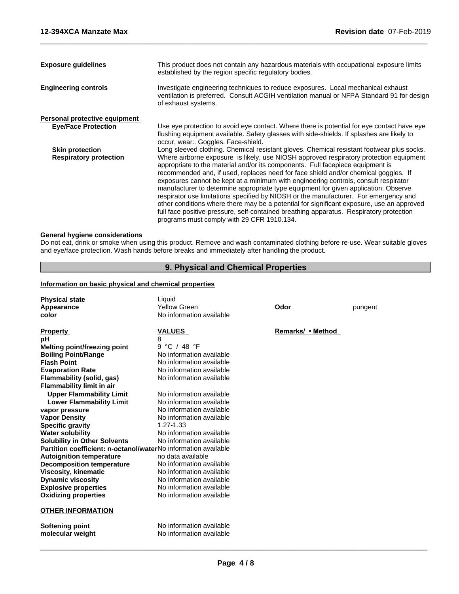| <b>Exposure guidelines</b>                              | This product does not contain any hazardous materials with occupational exposure limits<br>established by the region specific regulatory bodies.                                                                                                                                                                                                                                                                                                                                                                                                                                                                                                                                                                                                                                                                                                                         |
|---------------------------------------------------------|--------------------------------------------------------------------------------------------------------------------------------------------------------------------------------------------------------------------------------------------------------------------------------------------------------------------------------------------------------------------------------------------------------------------------------------------------------------------------------------------------------------------------------------------------------------------------------------------------------------------------------------------------------------------------------------------------------------------------------------------------------------------------------------------------------------------------------------------------------------------------|
| <b>Engineering controls</b>                             | Investigate engineering techniques to reduce exposures. Local mechanical exhaust<br>ventilation is preferred. Consult ACGIH ventilation manual or NFPA Standard 91 for design<br>of exhaust systems.                                                                                                                                                                                                                                                                                                                                                                                                                                                                                                                                                                                                                                                                     |
| Personal protective equipment                           |                                                                                                                                                                                                                                                                                                                                                                                                                                                                                                                                                                                                                                                                                                                                                                                                                                                                          |
| <b>Eye/Face Protection</b>                              | Use eye protection to avoid eye contact. Where there is potential for eye contact have eye<br>flushing equipment available. Safety glasses with side-shields. If splashes are likely to<br>occur, wear:. Goggles. Face-shield.                                                                                                                                                                                                                                                                                                                                                                                                                                                                                                                                                                                                                                           |
| <b>Skin protection</b><br><b>Respiratory protection</b> | Long sleeved clothing. Chemical resistant gloves. Chemical resistant footwear plus socks.<br>Where airborne exposure is likely, use NIOSH approved respiratory protection equipment<br>appropriate to the material and/or its components. Full facepiece equipment is<br>recommended and, if used, replaces need for face shield and/or chemical goggles. If<br>exposures cannot be kept at a minimum with engineering controls, consult respirator<br>manufacturer to determine appropriate type equipment for given application. Observe<br>respirator use limitations specified by NIOSH or the manufacturer. For emergency and<br>other conditions where there may be a potential for significant exposure, use an approved<br>full face positive-pressure, self-contained breathing apparatus. Respiratory protection<br>programs must comply with 29 CFR 1910.134. |
|                                                         |                                                                                                                                                                                                                                                                                                                                                                                                                                                                                                                                                                                                                                                                                                                                                                                                                                                                          |

 $\overline{\phantom{a}}$  ,  $\overline{\phantom{a}}$  ,  $\overline{\phantom{a}}$  ,  $\overline{\phantom{a}}$  ,  $\overline{\phantom{a}}$  ,  $\overline{\phantom{a}}$  ,  $\overline{\phantom{a}}$  ,  $\overline{\phantom{a}}$  ,  $\overline{\phantom{a}}$  ,  $\overline{\phantom{a}}$  ,  $\overline{\phantom{a}}$  ,  $\overline{\phantom{a}}$  ,  $\overline{\phantom{a}}$  ,  $\overline{\phantom{a}}$  ,  $\overline{\phantom{a}}$  ,  $\overline{\phantom{a}}$ 

### **General hygiene considerations**

Do not eat, drink or smoke when using this product. Remove and wash contaminated clothing before re-use. Wear suitable gloves and eye/face protection. Wash hands before breaks and immediately after handling the product.

### **9. Physical and Chemical Properties**

#### **Information on basic physical and chemical properties**

| <b>Physical state</b>                                          | Liquid                   |                   |         |
|----------------------------------------------------------------|--------------------------|-------------------|---------|
| Appearance                                                     | Yellow Green             | Odor              | pungent |
| color                                                          | No information available |                   |         |
|                                                                |                          |                   |         |
| <b>Property</b>                                                | <b>VALUES</b>            | Remarks/ • Method |         |
| рH                                                             | 8                        |                   |         |
| Melting point/freezing point                                   | 9 °C / 48 °F             |                   |         |
| <b>Boiling Point/Range</b>                                     | No information available |                   |         |
| <b>Flash Point</b>                                             | No information available |                   |         |
| <b>Evaporation Rate</b>                                        | No information available |                   |         |
| Flammability (solid, gas)                                      | No information available |                   |         |
| <b>Flammability limit in air</b>                               |                          |                   |         |
| <b>Upper Flammability Limit</b>                                | No information available |                   |         |
| <b>Lower Flammability Limit</b>                                | No information available |                   |         |
| vapor pressure                                                 | No information available |                   |         |
| <b>Vapor Density</b>                                           | No information available |                   |         |
| <b>Specific gravity</b>                                        | 1.27-1.33                |                   |         |
| <b>Water solubility</b>                                        | No information available |                   |         |
| <b>Solubility in Other Solvents</b>                            | No information available |                   |         |
| Partition coefficient: n-octanol/waterNo information available |                          |                   |         |
| <b>Autoignition temperature</b>                                | no data available        |                   |         |
| <b>Decomposition temperature</b>                               | No information available |                   |         |
| <b>Viscosity, kinematic</b>                                    | No information available |                   |         |
| <b>Dynamic viscosity</b>                                       | No information available |                   |         |
| <b>Explosive properties</b>                                    | No information available |                   |         |
| <b>Oxidizing properties</b>                                    | No information available |                   |         |
| <b>OTHER INFORMATION</b>                                       |                          |                   |         |
| <b>Softening point</b>                                         | No information available |                   |         |
| molecular weight                                               | No information available |                   |         |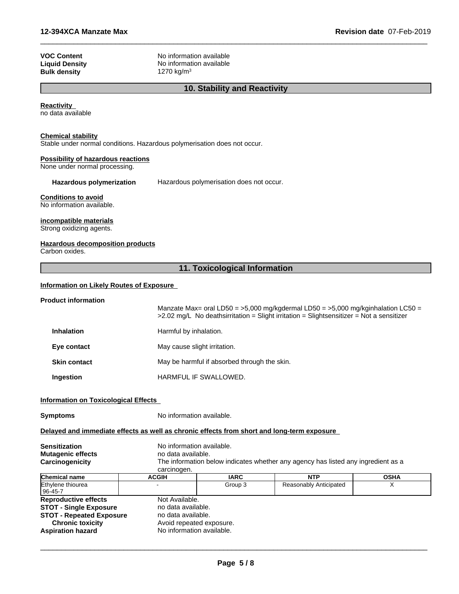| <b>VOC Content</b>    |
|-----------------------|
| <b>Liquid Density</b> |
| <b>Bulk density</b>   |

**No information available No information available Bulk density** 1270 kg/m<sup>3</sup>

#### **10. Stability and Reactivity**

 $\overline{\phantom{a}}$  ,  $\overline{\phantom{a}}$  ,  $\overline{\phantom{a}}$  ,  $\overline{\phantom{a}}$  ,  $\overline{\phantom{a}}$  ,  $\overline{\phantom{a}}$  ,  $\overline{\phantom{a}}$  ,  $\overline{\phantom{a}}$  ,  $\overline{\phantom{a}}$  ,  $\overline{\phantom{a}}$  ,  $\overline{\phantom{a}}$  ,  $\overline{\phantom{a}}$  ,  $\overline{\phantom{a}}$  ,  $\overline{\phantom{a}}$  ,  $\overline{\phantom{a}}$  ,  $\overline{\phantom{a}}$ 

#### **Reactivity**

no data available

#### **Chemical stability**

Stable under normal conditions. Hazardous polymerisation does not occur.

#### **Possibility of hazardous reactions**

None under normal processing.

#### **Hazardous polymerization** Hazardous polymerisation does not occur.

#### **Conditions to avoid**

No information available.

#### **incompatible materials**

Strong oxidizing agents.

#### **Hazardous decomposition products**

Carbon oxides.

#### **11. Toxicological Information**

#### **Information on Likely Routes of Exposure**

## **Product information** Manzate Max= oral LD50 =  $>5,000$  mg/kgdermal LD50 =  $>5,000$  mg/kginhalation LC50 = >2.02 mg/L No deathsirritation = Slight irritation = Slightsensitizer = Not a sensitizer **Inhalation** Harmful by inhalation. **Eye contact** May cause slight irritation. **Skin contact** May be harmful if absorbed through the skin. **Ingestion HARMFUL IF SWALLOWED.**

#### **Information on Toxicological Effects**

| Symptoms |  |
|----------|--|
|----------|--|

**Symptoms** No information available.

#### **Delayed and immediate effects as well as chronic effects from short and long-term exposure**

| <b>Sensitization</b>            |                    | No information available.                                                         |                        |             |  |
|---------------------------------|--------------------|-----------------------------------------------------------------------------------|------------------------|-------------|--|
| <b>Mutagenic effects</b>        |                    | no data available.                                                                |                        |             |  |
| Carcinogenicity                 |                    | The information below indicates whether any agency has listed any ingredient as a |                        |             |  |
|                                 | carcinogen.        |                                                                                   |                        |             |  |
| Chemical name                   | <b>ACGIH</b>       | <b>IARC</b>                                                                       | <b>NTP</b>             | <b>OSHA</b> |  |
| Ethylene thiourea               |                    | Group 3                                                                           | Reasonably Anticipated |             |  |
| 96-45-7                         |                    |                                                                                   |                        |             |  |
| <b>Reproductive effects</b>     | Not Available.     |                                                                                   |                        |             |  |
| <b>STOT - Single Exposure</b>   | no data available. |                                                                                   |                        |             |  |
| <b>STOT - Repeated Exposure</b> | no data available. |                                                                                   |                        |             |  |
| <b>Chronic toxicity</b>         |                    | Avoid repeated exposure.                                                          |                        |             |  |
| <b>Aspiration hazard</b>        |                    | No information available.                                                         |                        |             |  |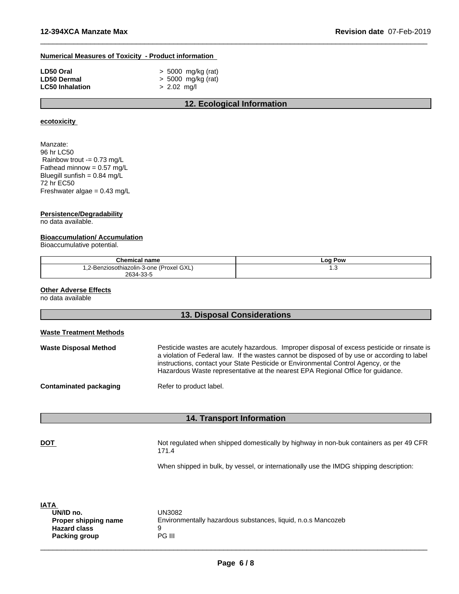#### **Numerical Measures of Toxicity - Product information**

| LD50 Oral              | $>$ 5000 mg/kg (rat) |
|------------------------|----------------------|
| <b>LD50 Dermal</b>     | > 5000 mg/kg (rat)   |
| <b>LC50 Inhalation</b> | $> 2.02$ mg/l        |

#### **12. Ecological Information**

 $\overline{\phantom{a}}$  ,  $\overline{\phantom{a}}$  ,  $\overline{\phantom{a}}$  ,  $\overline{\phantom{a}}$  ,  $\overline{\phantom{a}}$  ,  $\overline{\phantom{a}}$  ,  $\overline{\phantom{a}}$  ,  $\overline{\phantom{a}}$  ,  $\overline{\phantom{a}}$  ,  $\overline{\phantom{a}}$  ,  $\overline{\phantom{a}}$  ,  $\overline{\phantom{a}}$  ,  $\overline{\phantom{a}}$  ,  $\overline{\phantom{a}}$  ,  $\overline{\phantom{a}}$  ,  $\overline{\phantom{a}}$ 

#### **ecotoxicity**

Manzate: 96 hr LC50 Rainbow trout -= 0.73 mg/L Fathead minnow =  $0.57 \text{ mg/L}$ Bluegill sunfish =  $0.84$  mg/ $L$ 72 hr EC50 Freshwater algae = 0.43 mg/L

#### **Persistence/Degradability**

no data available.

#### **Bioaccumulation/ Accumulation**

Bioaccumulative potential.

| Chemical name                           | <b>Log Pow</b> |
|-----------------------------------------|----------------|
| ,2-Benziosothiazolin-3-one (Proxel GXL) | ن. ا           |
| 2634-33-5                               |                |

#### **Other Adverse Effects**

no data available

|                                | <b>13. Disposal Considerations</b>                                                                                                                                                                                                                                                                                                                                   |
|--------------------------------|----------------------------------------------------------------------------------------------------------------------------------------------------------------------------------------------------------------------------------------------------------------------------------------------------------------------------------------------------------------------|
| <b>Waste Treatment Methods</b> |                                                                                                                                                                                                                                                                                                                                                                      |
| <b>Waste Disposal Method</b>   | Pesticide wastes are acutely hazardous. Improper disposal of excess pesticide or rinsate is<br>a violation of Federal law. If the wastes cannot be disposed of by use or according to label<br>instructions, contact your State Pesticide or Environmental Control Agency, or the<br>Hazardous Waste representative at the nearest EPA Regional Office for guidance. |
| <b>Contaminated packaging</b>  | Refer to product label.                                                                                                                                                                                                                                                                                                                                              |
|                                | <b>14. Transport Information</b>                                                                                                                                                                                                                                                                                                                                     |
| <b>DOT</b>                     | Not regulated when shipped domestically by highway in non-buk containers as per 49 CFR<br>171.4                                                                                                                                                                                                                                                                      |

When shipped in bulk, by vessel, or internationally use the IMDG shipping description:

| <b>IATA</b><br>UN/ID no. | UN3082                                                       |
|--------------------------|--------------------------------------------------------------|
| Proper shipping name     | Environmentally hazardous substances, liquid, n.o.s Mancozeb |
| <b>Hazard class</b>      | u                                                            |
| <b>Packing group</b>     | PG III                                                       |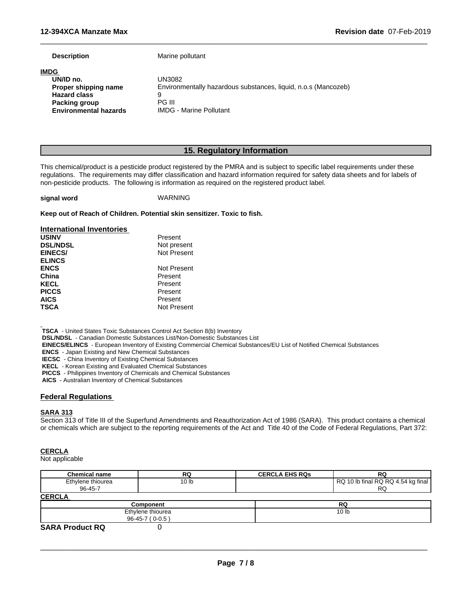**Description** Marine pollutant

| <b>IMDG</b>                  |                                                                |
|------------------------------|----------------------------------------------------------------|
| UN/ID no.                    | UN3082                                                         |
| Proper shipping name         | Environmentally hazardous substances, liquid, n.o.s (Mancozeb) |
| <b>Hazard class</b>          | a                                                              |
| Packing group                | PG III                                                         |
| <b>Environmental hazards</b> | <b>IMDG - Marine Pollutant</b>                                 |
|                              |                                                                |

#### **15. Regulatory Information**

 $\overline{\phantom{a}}$  ,  $\overline{\phantom{a}}$  ,  $\overline{\phantom{a}}$  ,  $\overline{\phantom{a}}$  ,  $\overline{\phantom{a}}$  ,  $\overline{\phantom{a}}$  ,  $\overline{\phantom{a}}$  ,  $\overline{\phantom{a}}$  ,  $\overline{\phantom{a}}$  ,  $\overline{\phantom{a}}$  ,  $\overline{\phantom{a}}$  ,  $\overline{\phantom{a}}$  ,  $\overline{\phantom{a}}$  ,  $\overline{\phantom{a}}$  ,  $\overline{\phantom{a}}$  ,  $\overline{\phantom{a}}$ 

This chemical/product is a pesticide product registered by the PMRA and is subject to specific label requirements under these regulations. The requirements may differ classification and hazard information required for safety data sheets and for labels of non-pesticide products. The following is information as required on the registered product label.

#### **signal word** WARNING

**Keep out of Reach of Children. Potential skin sensitizer. Toxic to fish.**

**Present** 

| international inventories |  |
|---------------------------|--|
| <b>USINV</b>              |  |
| DOI <b>AIDOI</b>          |  |

**International Inventories**

| <b>DSL/NDSL</b> | Not present |
|-----------------|-------------|
| <b>EINECS/</b>  | Not Present |
| <b>ELINCS</b>   |             |
| <b>ENCS</b>     | Not Present |
| China           | Present     |
| KECL            | Present     |
| <b>PICCS</b>    | Present     |
| <b>AICS</b>     | Present     |
| TSCA            | Not Present |

 **TSCA** - United States Toxic Substances Control Act Section 8(b) Inventory

 **DSL/NDSL** - Canadian Domestic Substances List/Non-Domestic Substances List

 **EINECS/ELINCS** - European Inventory of Existing Commercial Chemical Substances/EU List of Notified Chemical Substances

 **ENCS** - Japan Existing and New Chemical Substances

 **IECSC** - China Inventory of Existing Chemical Substances

 **KECL** - Korean Existing and Evaluated Chemical Substances

 **PICCS** - Philippines Inventory of Chemicals and Chemical Substances

 **AICS** - Australian Inventory of Chemical Substances

#### **Federal Regulations**

#### **SARA 313**

Section 313 of Title III of the Superfund Amendments and Reauthorization Act of 1986 (SARA). This product contains a chemical or chemicals which are subject to the reporting requirements of the Act and Title 40 of the Code of Federal Regulations, Part 372:

#### **CERCLA**

Not applicable

| <b>Chemical name</b>   | RQ                | <b>CERCLA EHS RQS</b> | RQ                                 |
|------------------------|-------------------|-----------------------|------------------------------------|
| Ethylene thiourea      | 10 lb             |                       | RQ 10 lb final RQ RQ 4.54 kg final |
| 96-45-7                |                   |                       | <b>RQ</b>                          |
| <b>CERCLA</b>          |                   |                       |                                    |
|                        | <b>Component</b>  |                       | RQ                                 |
|                        | Ethylene thiourea |                       | 10 <sub>h</sub>                    |
|                        | 96-45-7 (0-0.5)   |                       |                                    |
| <b>SARA Product RQ</b> |                   |                       |                                    |